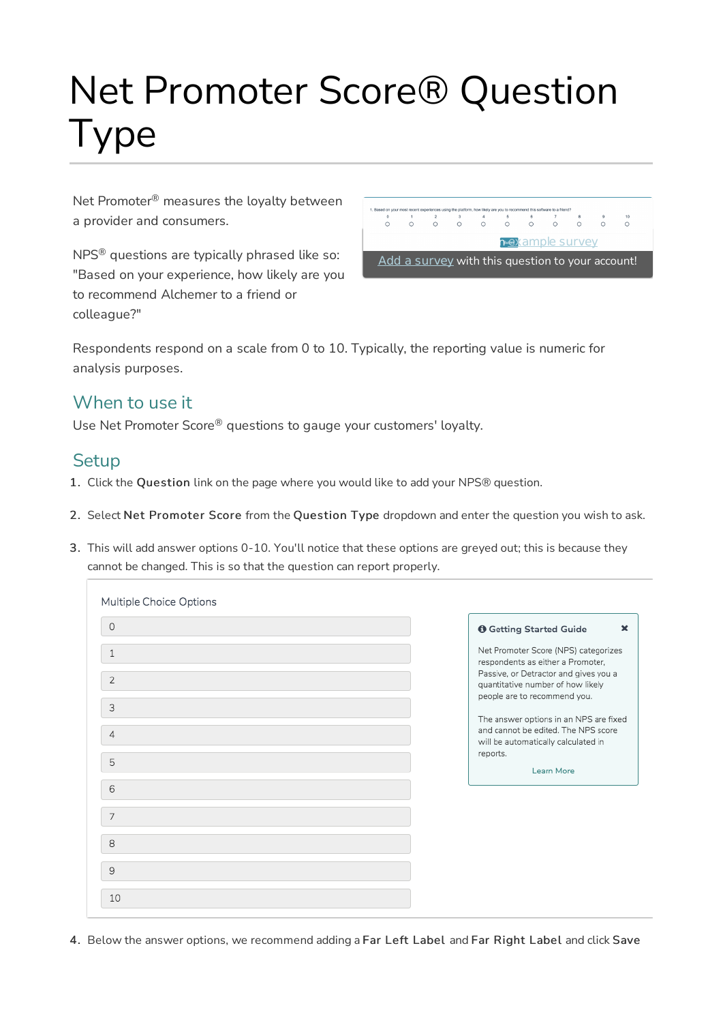# Net Promoter Score® Question Type

Net Promoter $^\circledR$  measures the loyalty between a provider and consumers.

 $NPS^{\circledast}$  questions are typically phrased like so: "Based on your experience, how likely are you to recommend Alchemer to a friend or colleague?"

 $\overline{0}$  $\frac{1}{\Omega}$  $\overline{O}$  $\frac{4}{\circ}$  $\frac{6}{\Omega}$ **Rexample survey!** Add a survey with this question to your account!

Respondents respond on a scale from 0 to 10. Typically, the reporting value is numeric for analysis purposes.

## When to use it

Use Net Promoter Score® questions to gauge your customers' loyalty.

### **Setup**

- 1. Click the Question link on the page where you would like to add your NPS® question.
- 2. Select Net Promoter Score from the Question Type dropdown and enter the question you wish to ask.
- 3. This will add answer options 0-10. You'll notice that these options are greyed out; this is because they cannot be changed. This is so that the question can report properly.

| Multiple Choice Options |                                                                                                                      |
|-------------------------|----------------------------------------------------------------------------------------------------------------------|
| $\circ$                 | <b>O</b> Getting Started Guide<br>$\mathbf x$                                                                        |
| 1                       | Net Promoter Score (NPS) categorizes<br>respondents as either a Promoter,                                            |
| $\overline{2}$          | Passive, or Detractor and gives you a<br>quantitative number of how likely                                           |
| 3                       | people are to recommend you.                                                                                         |
| 4                       | The answer options in an NPS are fixed<br>and cannot be edited. The NPS score<br>will be automatically calculated in |
| 5                       | reports.<br>Learn More                                                                                               |
| 6                       |                                                                                                                      |
| 7                       |                                                                                                                      |
| 8                       |                                                                                                                      |
| 9                       |                                                                                                                      |
| 10                      |                                                                                                                      |

4. Below the answer options, we recommend adding a Far Left Label and Far Right Label and click Save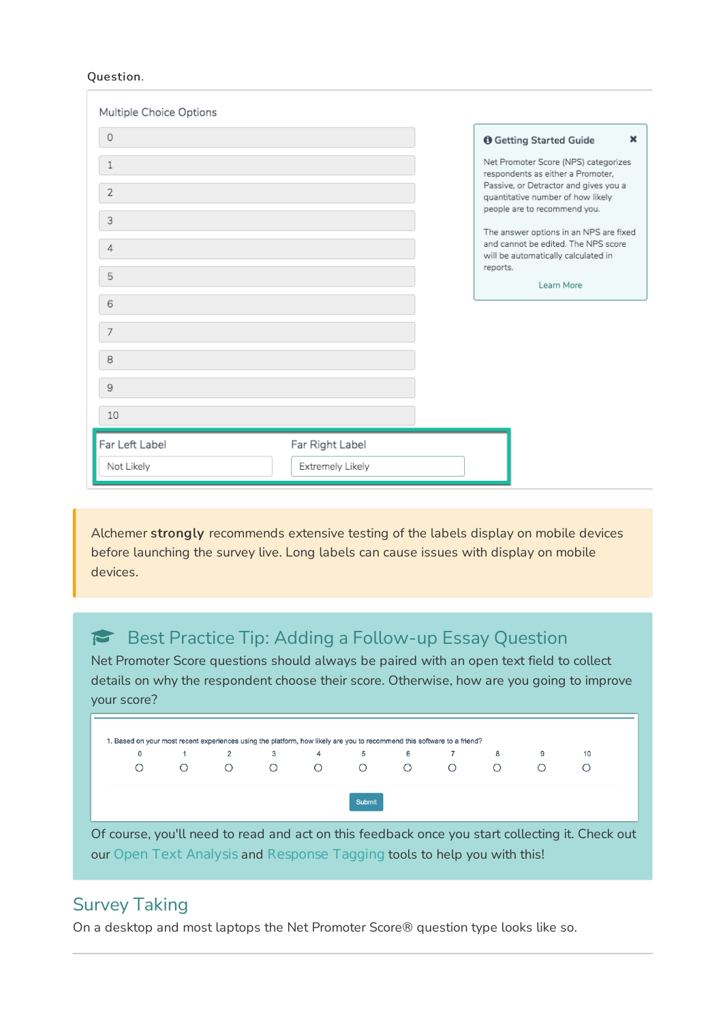#### Question.

| Multiple Choice Options |                  |          |                                                                                                                      |
|-------------------------|------------------|----------|----------------------------------------------------------------------------------------------------------------------|
| $\circ$                 |                  |          | <b>O</b> Getting Started Guide<br>$\pmb{\times}$                                                                     |
| 1                       |                  |          | Net Promoter Score (NPS) categorizes<br>respondents as either a Promoter,                                            |
| $\overline{2}$          |                  |          | Passive, or Detractor and gives you a<br>quantitative number of how likely                                           |
| 3                       |                  |          | people are to recommend you.                                                                                         |
| 4                       |                  |          | The answer options in an NPS are fixed<br>and cannot be edited. The NPS score<br>will be automatically calculated in |
| 5                       |                  | reports. | Learn More                                                                                                           |
| 6                       |                  |          |                                                                                                                      |
|                         |                  |          |                                                                                                                      |
| 7                       |                  |          |                                                                                                                      |
| 8                       |                  |          |                                                                                                                      |
| 9                       |                  |          |                                                                                                                      |
| 10                      |                  |          |                                                                                                                      |
| Far Left Label          | Far Right Label  |          |                                                                                                                      |
| Not Likely              | Extremely Likely |          |                                                                                                                      |

Alchemer strongly recommends extensive testing of the labels display on mobile devices before launching the survey live. Long labels can cause issues with display on mobile devices.

## Best Practice Tip: Adding a Follow-up Essay Question

Net Promoter Score questions should always be paired with an open text field to collect details on why the respondent choose their score. Otherwise, how are you going to improve your score?



Of course, you'll need to read and act on this feedback once you start collecting it. Check out our Open Text Analysis and Response Tagging tools to help you with this!

## Survey Taking

On a desktop and most laptops the Net Promoter Score® question type looks like so.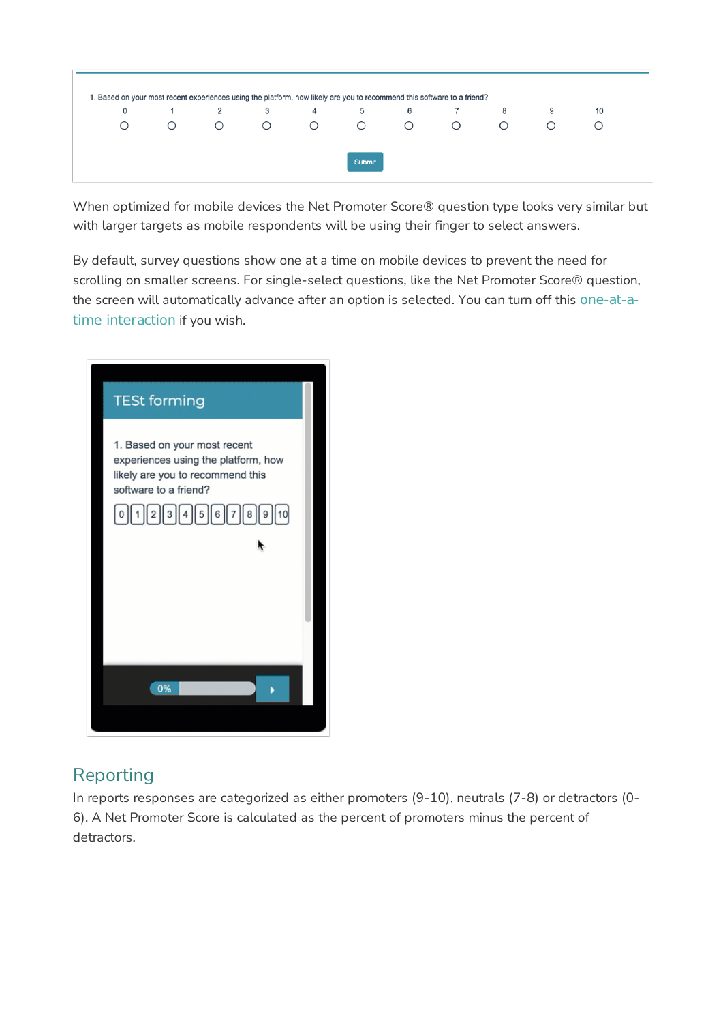

When optimized for mobile devices the Net Promoter Score® question type looks very similar but with larger targets as mobile respondents will be using their finger to select answers.

By default, survey questions show one at a time on mobile devices to prevent the need for scrolling on smaller screens. For single-select questions, like the Net Promoter Score® question, the screen will automatically advance after an option is selected. You can turn off this one-at-atime interaction if you wish.



# Reporting

In reports responses are categorized as either promoters (9-10), neutrals (7-8) or detractors (0- 6). A Net Promoter Score is calculated as the percent of promoters minus the percent of detractors.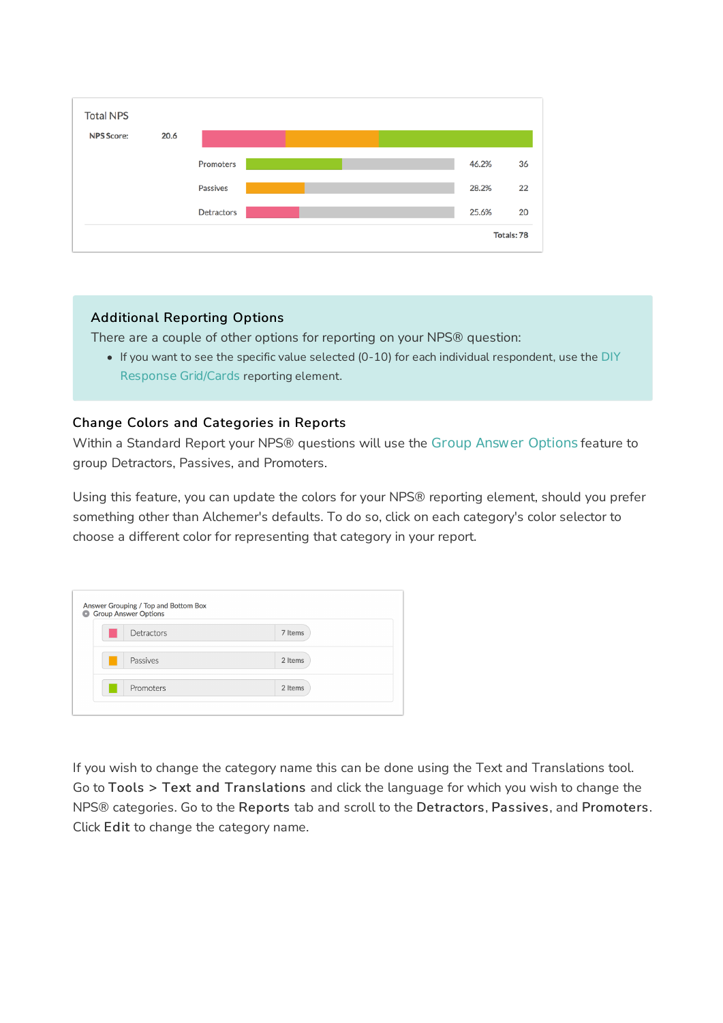

#### Additional Reporting Options

There are a couple of other options for reporting on your NPS® question:

If you want to see the specific value selected (0-10) for each individual respondent, use the DIY Response Grid/Cards reporting element.

#### Change Colors and Categories in Reports

Within a Standard Report your NPS® questions will use the Group Answer Options feature to group Detractors, Passives, and Promoters.

Using this feature, you can update the colors for your NPS® reporting element, should you prefer something other than Alchemer's defaults. To do so, click on each category's color selector to choose a different color for representing that category in your report.

| <b>Group Answer Options</b> |         |  |
|-----------------------------|---------|--|
| Detractors                  | 7 Items |  |
| Passives                    | 2 Items |  |
| Promoters                   | 2 Items |  |

If you wish to change the category name this can be done using the Text and Translations tool. Go to Tools > Text and Translations and click the language for which you wish to change the NPS® categories. Go to the Reports tab and scroll to the Detractors, Passives, and Promoters. Click Edit to change the category name.